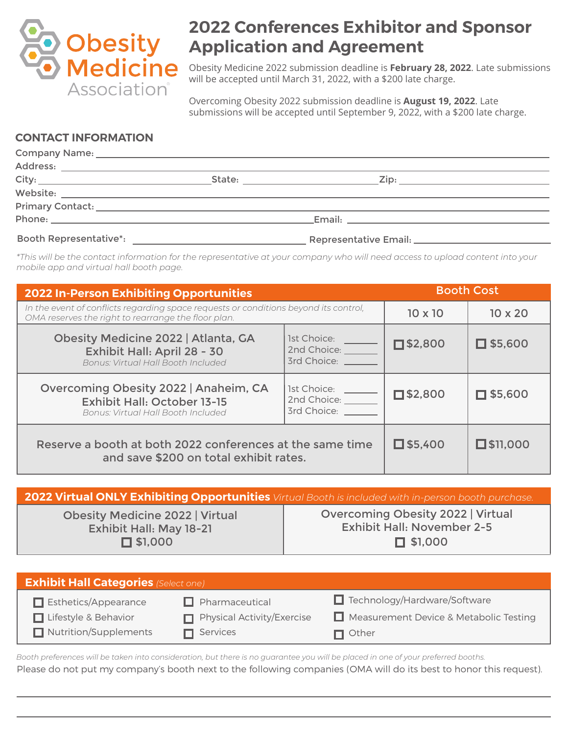

# **2022 Conferences Exhibitor and Sponsor Application and Agreement**

Obesity Medicine 2022 submission deadline is **February 28, 2022**. Late submissions will be accepted until March 31, 2022, with a \$200 late charge.

Overcoming Obesity 2022 submission deadline is **August 19, 2022**. Late submissions will be accepted until September 9, 2022, with a \$200 late charge.

# **CONTACT INFORMATION**

| <b>Booth Representative*:</b> |  |  |  |
|-------------------------------|--|--|--|

*\*This will be the contact information for the representative at your company who will need access to upload content into your mobile app and virtual hall booth page.*

| <b>2022 In-Person Exhibiting Opportunities</b>                                                                                                                              | <b>Booth Cost</b>                                             |                   |                    |
|-----------------------------------------------------------------------------------------------------------------------------------------------------------------------------|---------------------------------------------------------------|-------------------|--------------------|
| In the event of conflicts regarding space requests or conditions beyond its control,<br>OMA reserves the right to rearrange the floor plan.                                 |                                                               | $10 \times 10$    | $10 \times 20$     |
| Obesity Medicine 2022   Atlanta, GA<br>Exhibit Hall: April 28 - 30<br>Bonus: Virtual Hall Booth Included                                                                    | 1st Choice: <u>______</u><br>2nd Choice: _____<br>3rd Choice: | $\square$ \$2,800 | $\Box$ \$5,600     |
| Overcoming Obesity 2022   Anaheim, CA<br>1st Choice:<br>2nd Choice: _____<br><b>Exhibit Hall: October 13-15</b><br>3rd Choice:<br><b>Bonus: Virtual Hall Booth Included</b> |                                                               | $\square$ \$2,800 | $\square$ \$5,600  |
| Reserve a booth at both 2022 conferences at the same time<br>and save \$200 on total exhibit rates.                                                                         |                                                               | $\square$ \$5,400 | $\square$ \$11,000 |

| 2022 Virtual ONLY Exhibiting Opportunities Virtual Booth is included with in-person booth purchase. |                                                                               |  |  |  |
|-----------------------------------------------------------------------------------------------------|-------------------------------------------------------------------------------|--|--|--|
| <b>Obesity Medicine 2022   Virtual</b><br><b>Exhibit Hall: May 18-21</b>                            | <b>Overcoming Obesity 2022   Virtual</b><br><b>Exhibit Hall: November 2-5</b> |  |  |  |
| $\Box$ \$1.000                                                                                      | $\Box$ \$1,000                                                                |  |  |  |

| <b>Exhibit Hall Categories (Select one)</b> |                            |                                        |  |
|---------------------------------------------|----------------------------|----------------------------------------|--|
| $\Box$ Esthetics/Appearance                 | $\Box$ Pharmaceutical      | $\Box$ Technology/Hardware/Software    |  |
| □ Lifestyle & Behavior                      | Physical Activity/Exercise | Measurement Device & Metabolic Testing |  |
| Nutrition/Supplements                       | $\blacksquare$ Services    | $\blacksquare$ Other                   |  |

Please do not put my company's booth next to the following companies (OMA will do its best to honor this request). *Booth preferences will be taken into consideration, but there is no guarantee you will be placed in one of your preferred booths.*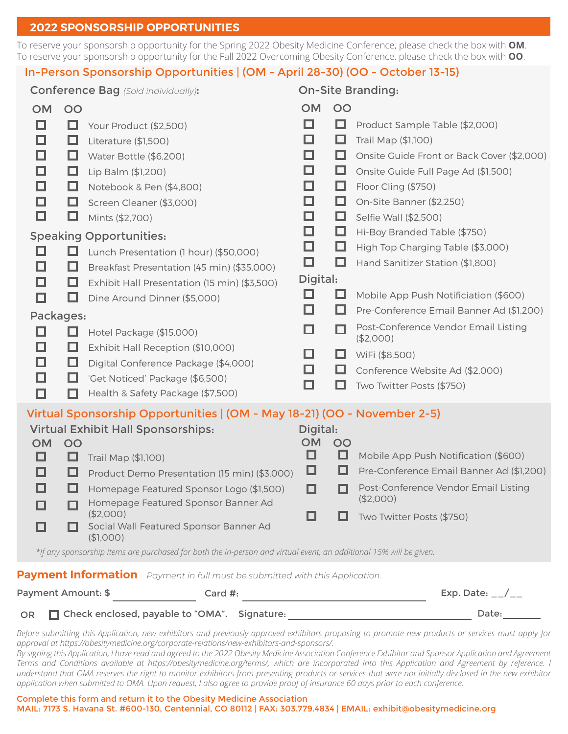#### **2022 SPONSORSHIP OPPORTUNITIES**

To reserve your sponsorship opportunity for the Spring 2022 Obesity Medicine Conference, please check the box with **OM**. To reserve your sponsorship opportunity for the Fall 2022 Overcoming Obesity Conference, please check the box with **OO**.

# In-Person Sponsorship Opportunities | (OM - April 28-30) (OO - October 13-15)

| <b>Conference Bag</b> (Sold individually):                                                                         |                                                                              | <b>On-Site Branding:</b> |         |                                                   |
|--------------------------------------------------------------------------------------------------------------------|------------------------------------------------------------------------------|--------------------------|---------|---------------------------------------------------|
| <b>OM</b>                                                                                                          | OO                                                                           | <b>NO</b>                | OO      |                                                   |
| □                                                                                                                  | □<br>Your Product (\$2,500)                                                  | □                        | □       | Product Sample Table (\$2,000)                    |
| □                                                                                                                  | □<br>Literature (\$1,500)                                                    | ◻                        | ⊔       | Trail Map (\$1,100)                               |
| □                                                                                                                  | Water Bottle (\$6,200)<br>□                                                  | □                        | ш       | Onsite Guide Front or Back Cover (\$2,000)        |
| □                                                                                                                  | □<br>Lip Balm (\$1,200)                                                      | □                        | □       | Onsite Guide Full Page Ad (\$1,500)               |
| □                                                                                                                  | □<br>Notebook & Pen (\$4,800)                                                | □                        | ⊔       | Floor Cling (\$750)                               |
| ◻                                                                                                                  | ш<br>Screen Cleaner (\$3,000)                                                | □                        | □       | On-Site Banner (\$2,250)                          |
| □                                                                                                                  | ⊔<br>Mints (\$2,700)                                                         | ◻                        | ⊔       | Selfie Wall (\$2,500)                             |
|                                                                                                                    | <b>Speaking Opportunities:</b>                                               | □                        | ⊔       | Hi-Boy Branded Table (\$750)                      |
| ப                                                                                                                  | ப<br>Lunch Presentation (1 hour) (\$50,000)                                  | □                        | ⊔       | High Top Charging Table (\$3,000)                 |
| □                                                                                                                  | Breakfast Presentation (45 min) (\$35,000)<br>⊔                              | □                        | ப       | Hand Sanitizer Station (\$1,800)                  |
| □                                                                                                                  | ш<br>Exhibit Hall Presentation (15 min) (\$3,500)                            | Digital:                 |         |                                                   |
| □                                                                                                                  | Dine Around Dinner (\$5,000)<br>ப                                            | ◻                        | ப       | Mobile App Push Notificiation (\$600)             |
| Packages:                                                                                                          |                                                                              | П                        | ப       | Pre-Conference Email Banner Ad (\$1,200)          |
| □                                                                                                                  | ப<br>Hotel Package (\$15,000)                                                | ◻                        | П       | Post-Conference Vendor Email Listing<br>(\$2,000) |
| □                                                                                                                  | □<br>Exhibit Hall Reception (\$10,000)                                       | □                        | □       | WiFi (\$8,500)                                    |
| □                                                                                                                  | □<br>Digital Conference Package (\$4,000)                                    | ◻                        | ш       | Conference Website Ad (\$2,000)                   |
| □                                                                                                                  | 'Get Noticed' Package (\$6,500)<br>⊔                                         | □                        | ப       | Two Twitter Posts (\$750)                         |
| □                                                                                                                  | Health & Safety Package (\$7,500)<br>П                                       |                          |         |                                                   |
|                                                                                                                    | Virtual Sponsorship Opportunities   (OM - May 18-21) (OO - November 2-5)     |                          |         |                                                   |
|                                                                                                                    | <b>Virtual Exhibit Hall Sponsorships:</b>                                    | Digital:                 |         |                                                   |
| <b>OM</b><br>ப                                                                                                     | OO<br>ப<br>Trail Map (\$1,100)                                               | <b>OM</b><br>□           | OO<br>ப | Mobile App Push Notification (\$600)              |
| □                                                                                                                  | ப<br>Product Demo Presentation (15 min) (\$3,000)                            | ⊔                        | ப       | Pre-Conference Email Banner Ad (\$1,200)          |
| □                                                                                                                  | Homepage Featured Sponsor Logo (\$1,500)                                     | П                        | ш       | Post-Conference Vendor Email Listing              |
|                                                                                                                    | Homepage Featured Sponsor Banner Ad                                          |                          |         | (\$2,000)                                         |
|                                                                                                                    | (\$2,000)                                                                    |                          |         | Two Twitter Posts (\$750)                         |
|                                                                                                                    | Social Wall Featured Sponsor Banner Ad<br>(\$1,000)                          |                          |         |                                                   |
| *If any sponsorship items are purchased for both the in-person and virtual event, an additional 15% will be given. |                                                                              |                          |         |                                                   |
|                                                                                                                    | Payment Information Payment in full must be submitted with this Application. |                          |         |                                                   |

| Payment Amount: \$ | Card $\#$ :                                     | Exp. Date: $_{--}/_{--}$ |
|--------------------|-------------------------------------------------|--------------------------|
|                    | OR Check enclosed, payable to "OMA". Signature: | Date:                    |

*Before submitting this Application, new exhibitors and previously-approved exhibitors proposing to promote new products or services must apply for approval at https://obesitymedicine.org/corporate-relations/new-exhibitors-and-sponsors/.*

*By signing this Application, I have read and agreed to the 2022 Obesity Medicine Association Conference Exhibitor and Sponsor Application and Agreement Terms and Conditions available at https://obesitymedicine.org/terms/, which are incorporated into this Application and Agreement by reference. I understand that OMA reserves the right to monitor exhibitors from presenting products or services that were not initially disclosed in the new exhibitor application when submitted to OMA. Upon request, I also agree to provide proof of insurance 60 days prior to each conference.*

#### Complete this form and return it to the Obesity Medicine Association MAIL: 7173 S. Havana St. #600-130, Centennial, CO 80112 | FAX: 303.779.4834 | EMAIL: exhibit@obesitymedicine.org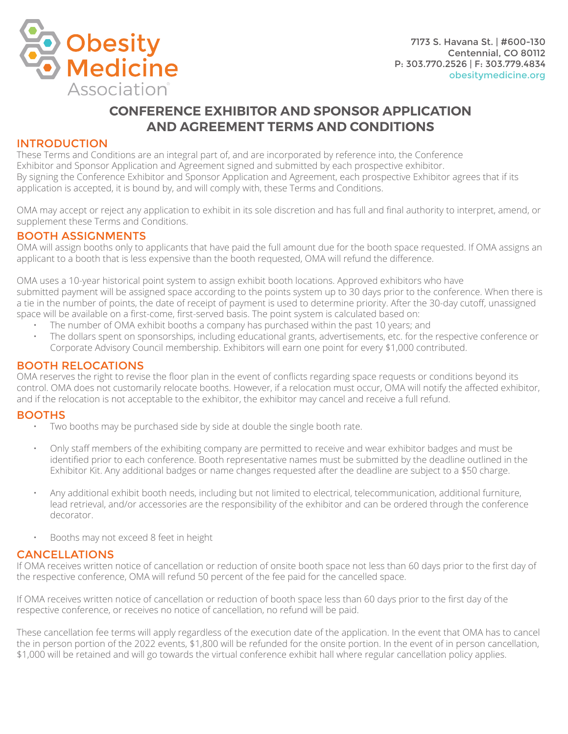

# **CONFERENCE EXHIBITOR AND SPONSOR APPLICATION AND AGREEMENT TERMS AND CONDITIONS**

# INTRODUCTION

These Terms and Conditions are an integral part of, and are incorporated by reference into, the Conference Exhibitor and Sponsor Application and Agreement signed and submitted by each prospective exhibitor. By signing the Conference Exhibitor and Sponsor Application and Agreement, each prospective Exhibitor agrees that if its application is accepted, it is bound by, and will comply with, these Terms and Conditions.

OMA may accept or reject any application to exhibit in its sole discretion and has full and final authority to interpret, amend, or supplement these Terms and Conditions.

#### BOOTH ASSIGNMENTS

OMA will assign booths only to applicants that have paid the full amount due for the booth space requested. If OMA assigns an applicant to a booth that is less expensive than the booth requested, OMA will refund the difference.

OMA uses a 10-year historical point system to assign exhibit booth locations. Approved exhibitors who have submitted payment will be assigned space according to the points system up to 30 days prior to the conference. When there is a tie in the number of points, the date of receipt of payment is used to determine priority. After the 30-day cutoff, unassigned space will be available on a first-come, first-served basis. The point system is calculated based on:

- The number of OMA exhibit booths a company has purchased within the past 10 years; and
- The dollars spent on sponsorships, including educational grants, advertisements, etc. for the respective conference or Corporate Advisory Council membership. Exhibitors will earn one point for every \$1,000 contributed.

#### BOOTH RELOCATIONS

OMA reserves the right to revise the floor plan in the event of conflicts regarding space requests or conditions beyond its control. OMA does not customarily relocate booths. However, if a relocation must occur, OMA will notify the affected exhibitor, and if the relocation is not acceptable to the exhibitor, the exhibitor may cancel and receive a full refund.

#### **BOOTHS**

- Two booths may be purchased side by side at double the single booth rate.
- Only staff members of the exhibiting company are permitted to receive and wear exhibitor badges and must be identified prior to each conference. Booth representative names must be submitted by the deadline outlined in the Exhibitor Kit. Any additional badges or name changes requested after the deadline are subject to a \$50 charge.
- Any additional exhibit booth needs, including but not limited to electrical, telecommunication, additional furniture, lead retrieval, and/or accessories are the responsibility of the exhibitor and can be ordered through the conference decorator.
- Booths may not exceed 8 feet in height

# CANCELLATIONS

If OMA receives written notice of cancellation or reduction of onsite booth space not less than 60 days prior to the first day of the respective conference, OMA will refund 50 percent of the fee paid for the cancelled space.

If OMA receives written notice of cancellation or reduction of booth space less than 60 days prior to the first day of the respective conference, or receives no notice of cancellation, no refund will be paid.

These cancellation fee terms will apply regardless of the execution date of the application. In the event that OMA has to cancel the in person portion of the 2022 events, \$1,800 will be refunded for the onsite portion. In the event of in person cancellation, \$1,000 will be retained and will go towards the virtual conference exhibit hall where regular cancellation policy applies.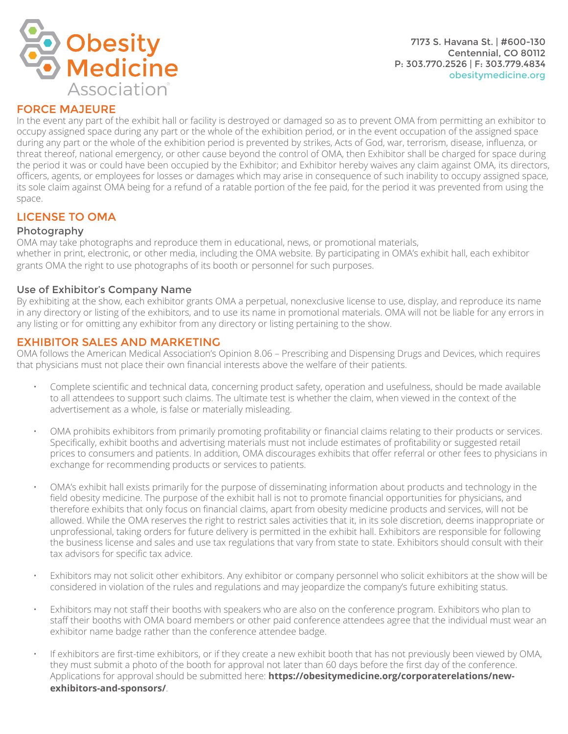



# FORCE MAJEURE

In the event any part of the exhibit hall or facility is destroyed or damaged so as to prevent OMA from permitting an exhibitor to occupy assigned space during any part or the whole of the exhibition period, or in the event occupation of the assigned space during any part or the whole of the exhibition period is prevented by strikes, Acts of God, war, terrorism, disease, influenza, or threat thereof, national emergency, or other cause beyond the control of OMA, then Exhibitor shall be charged for space during the period it was or could have been occupied by the Exhibitor; and Exhibitor hereby waives any claim against OMA, its directors, officers, agents, or employees for losses or damages which may arise in consequence of such inability to occupy assigned space, its sole claim against OMA being for a refund of a ratable portion of the fee paid, for the period it was prevented from using the space.

# LICENSE TO OMA

#### Photography

OMA may take photographs and reproduce them in educational, news, or promotional materials, whether in print, electronic, or other media, including the OMA website. By participating in OMA's exhibit hall, each exhibitor grants OMA the right to use photographs of its booth or personnel for such purposes.

#### Use of Exhibitor's Company Name

By exhibiting at the show, each exhibitor grants OMA a perpetual, nonexclusive license to use, display, and reproduce its name in any directory or listing of the exhibitors, and to use its name in promotional materials. OMA will not be liable for any errors in any listing or for omitting any exhibitor from any directory or listing pertaining to the show.

#### EXHIBITOR SALES AND MARKETING

OMA follows the American Medical Association's Opinion 8.06 – Prescribing and Dispensing Drugs and Devices, which requires that physicians must not place their own financial interests above the welfare of their patients.

- Complete scientific and technical data, concerning product safety, operation and usefulness, should be made available to all attendees to support such claims. The ultimate test is whether the claim, when viewed in the context of the advertisement as a whole, is false or materially misleading.
- OMA prohibits exhibitors from primarily promoting profitability or financial claims relating to their products or services. Specifically, exhibit booths and advertising materials must not include estimates of profitability or suggested retail prices to consumers and patients. In addition, OMA discourages exhibits that offer referral or other fees to physicians in exchange for recommending products or services to patients.
- OMA's exhibit hall exists primarily for the purpose of disseminating information about products and technology in the field obesity medicine. The purpose of the exhibit hall is not to promote financial opportunities for physicians, and therefore exhibits that only focus on financial claims, apart from obesity medicine products and services, will not be allowed. While the OMA reserves the right to restrict sales activities that it, in its sole discretion, deems inappropriate or unprofessional, taking orders for future delivery is permitted in the exhibit hall. Exhibitors are responsible for following the business license and sales and use tax regulations that vary from state to state. Exhibitors should consult with their tax advisors for specific tax advice.
- Exhibitors may not solicit other exhibitors. Any exhibitor or company personnel who solicit exhibitors at the show will be considered in violation of the rules and regulations and may jeopardize the company's future exhibiting status.
- Exhibitors may not staff their booths with speakers who are also on the conference program. Exhibitors who plan to staff their booths with OMA board members or other paid conference attendees agree that the individual must wear an exhibitor name badge rather than the conference attendee badge.
- If exhibitors are first-time exhibitors, or if they create a new exhibit booth that has not previously been viewed by OMA, they must submit a photo of the booth for approval not later than 60 days before the first day of the conference. Applications for approval should be submitted here: **https://obesitymedicine.org/corporaterelations/newexhibitors-and-sponsors/**.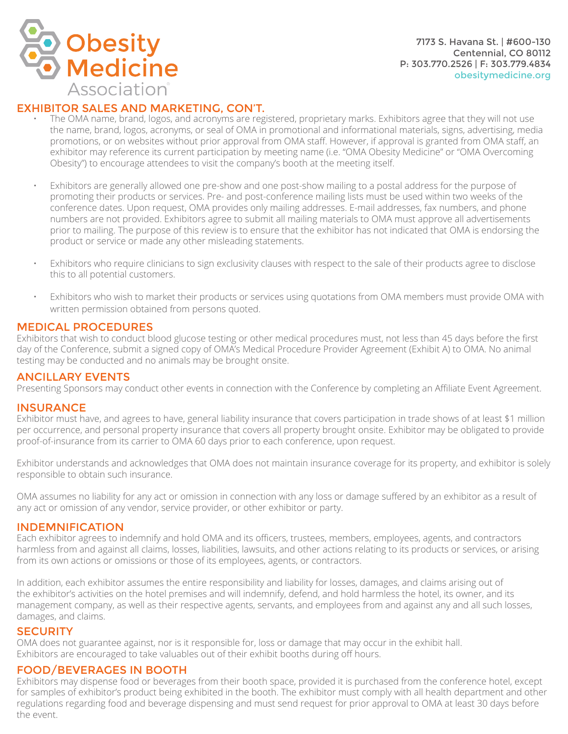

# EXHIBITOR SALES AND MARKETING, CON'T.

- The OMA name, brand, logos, and acronyms are registered, proprietary marks. Exhibitors agree that they will not use the name, brand, logos, acronyms, or seal of OMA in promotional and informational materials, signs, advertising, media promotions, or on websites without prior approval from OMA staff. However, if approval is granted from OMA staff, an exhibitor may reference its current participation by meeting name (i.e. "OMA Obesity Medicine" or "OMA Overcoming Obesity") to encourage attendees to visit the company's booth at the meeting itself.
- Exhibitors are generally allowed one pre-show and one post-show mailing to a postal address for the purpose of promoting their products or services. Pre- and post-conference mailing lists must be used within two weeks of the conference dates. Upon request, OMA provides only mailing addresses. E-mail addresses, fax numbers, and phone numbers are not provided. Exhibitors agree to submit all mailing materials to OMA must approve all advertisements prior to mailing. The purpose of this review is to ensure that the exhibitor has not indicated that OMA is endorsing the product or service or made any other misleading statements.
- Exhibitors who require clinicians to sign exclusivity clauses with respect to the sale of their products agree to disclose this to all potential customers.
- Exhibitors who wish to market their products or services using quotations from OMA members must provide OMA with written permission obtained from persons quoted.

#### MEDICAL PROCEDURES

Exhibitors that wish to conduct blood glucose testing or other medical procedures must, not less than 45 days before the first day of the Conference, submit a signed copy of OMA's Medical Procedure Provider Agreement (Exhibit A) to OMA. No animal testing may be conducted and no animals may be brought onsite.

# ANCILLARY EVENTS

Presenting Sponsors may conduct other events in connection with the Conference by completing an Affiliate Event Agreement.

# INSURANCE

Exhibitor must have, and agrees to have, general liability insurance that covers participation in trade shows of at least \$1 million per occurrence, and personal property insurance that covers all property brought onsite. Exhibitor may be obligated to provide proof-of-insurance from its carrier to OMA 60 days prior to each conference, upon request.

Exhibitor understands and acknowledges that OMA does not maintain insurance coverage for its property, and exhibitor is solely responsible to obtain such insurance.

OMA assumes no liability for any act or omission in connection with any loss or damage suffered by an exhibitor as a result of any act or omission of any vendor, service provider, or other exhibitor or party.

#### INDEMNIFICATION

Each exhibitor agrees to indemnify and hold OMA and its officers, trustees, members, employees, agents, and contractors harmless from and against all claims, losses, liabilities, lawsuits, and other actions relating to its products or services, or arising from its own actions or omissions or those of its employees, agents, or contractors.

In addition, each exhibitor assumes the entire responsibility and liability for losses, damages, and claims arising out of the exhibitor's activities on the hotel premises and will indemnify, defend, and hold harmless the hotel, its owner, and its management company, as well as their respective agents, servants, and employees from and against any and all such losses, damages, and claims.

# **SECURITY**

OMA does not guarantee against, nor is it responsible for, loss or damage that may occur in the exhibit hall. Exhibitors are encouraged to take valuables out of their exhibit booths during off hours.

#### FOOD/BEVERAGES IN BOOTH

Exhibitors may dispense food or beverages from their booth space, provided it is purchased from the conference hotel, except for samples of exhibitor's product being exhibited in the booth. The exhibitor must comply with all health department and other regulations regarding food and beverage dispensing and must send request for prior approval to OMA at least 30 days before the event.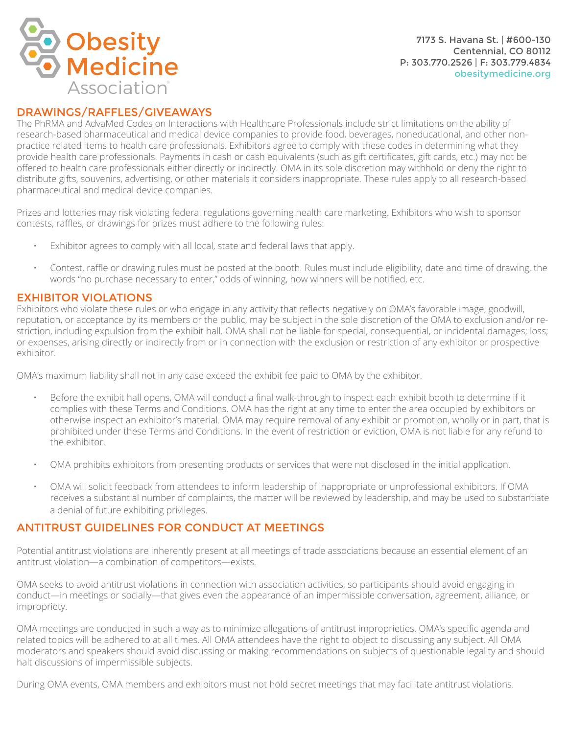

7173 S. Havana St. | #600-130 Centennial, CO 80112 P: 303.770.2526 | F: 303.779.4834 obesitymedicine.org

#### DRAWINGS/RAFFLES/GIVEAWAYS

The PhRMA and AdvaMed Codes on Interactions with Healthcare Professionals include strict limitations on the ability of research-based pharmaceutical and medical device companies to provide food, beverages, noneducational, and other nonpractice related items to health care professionals. Exhibitors agree to comply with these codes in determining what they provide health care professionals. Payments in cash or cash equivalents (such as gift certificates, gift cards, etc.) may not be offered to health care professionals either directly or indirectly. OMA in its sole discretion may withhold or deny the right to distribute gifts, souvenirs, advertising, or other materials it considers inappropriate. These rules apply to all research-based pharmaceutical and medical device companies.

Prizes and lotteries may risk violating federal regulations governing health care marketing. Exhibitors who wish to sponsor contests, raffles, or drawings for prizes must adhere to the following rules:

- Exhibitor agrees to comply with all local, state and federal laws that apply.
- Contest, raffle or drawing rules must be posted at the booth. Rules must include eligibility, date and time of drawing, the words "no purchase necessary to enter," odds of winning, how winners will be notified, etc.

#### EXHIBITOR VIOLATIONS

Exhibitors who violate these rules or who engage in any activity that reflects negatively on OMA's favorable image, goodwill, reputation, or acceptance by its members or the public, may be subject in the sole discretion of the OMA to exclusion and/or restriction, including expulsion from the exhibit hall. OMA shall not be liable for special, consequential, or incidental damages; loss; or expenses, arising directly or indirectly from or in connection with the exclusion or restriction of any exhibitor or prospective exhibitor.

OMA's maximum liability shall not in any case exceed the exhibit fee paid to OMA by the exhibitor.

- Before the exhibit hall opens, OMA will conduct a final walk-through to inspect each exhibit booth to determine if it complies with these Terms and Conditions. OMA has the right at any time to enter the area occupied by exhibitors or otherwise inspect an exhibitor's material. OMA may require removal of any exhibit or promotion, wholly or in part, that is prohibited under these Terms and Conditions. In the event of restriction or eviction, OMA is not liable for any refund to the exhibitor.
- OMA prohibits exhibitors from presenting products or services that were not disclosed in the initial application.
- OMA will solicit feedback from attendees to inform leadership of inappropriate or unprofessional exhibitors. If OMA receives a substantial number of complaints, the matter will be reviewed by leadership, and may be used to substantiate a denial of future exhibiting privileges.

# ANTITRUST GUIDELINES FOR CONDUCT AT MEETINGS

Potential antitrust violations are inherently present at all meetings of trade associations because an essential element of an antitrust violation—a combination of competitors—exists.

OMA seeks to avoid antitrust violations in connection with association activities, so participants should avoid engaging in conduct—in meetings or socially—that gives even the appearance of an impermissible conversation, agreement, alliance, or impropriety.

OMA meetings are conducted in such a way as to minimize allegations of antitrust improprieties. OMA's specific agenda and related topics will be adhered to at all times. All OMA attendees have the right to object to discussing any subject. All OMA moderators and speakers should avoid discussing or making recommendations on subjects of questionable legality and should halt discussions of impermissible subjects.

During OMA events, OMA members and exhibitors must not hold secret meetings that may facilitate antitrust violations.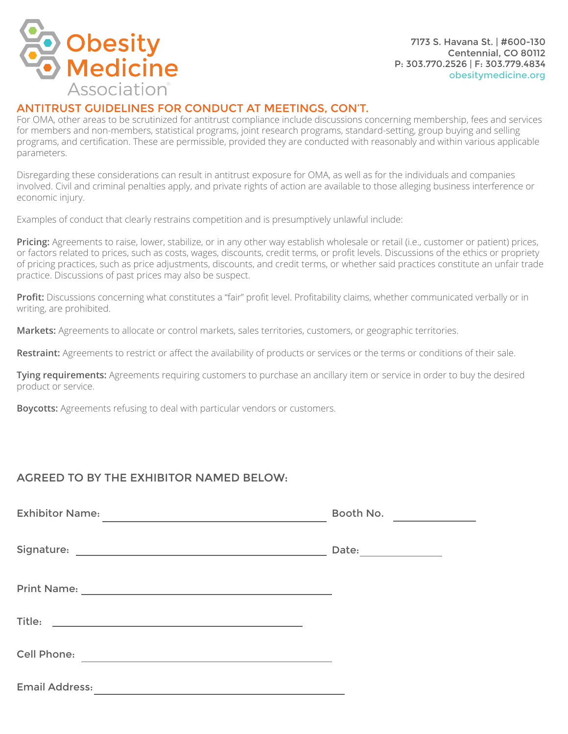

# ANTITRUST GUIDELINES FOR CONDUCT AT MEETINGS, CON'T.

For OMA, other areas to be scrutinized for antitrust compliance include discussions concerning membership, fees and services for members and non-members, statistical programs, joint research programs, standard-setting, group buying and selling programs, and certification. These are permissible, provided they are conducted with reasonably and within various applicable parameters.

Disregarding these considerations can result in antitrust exposure for OMA, as well as for the individuals and companies involved. Civil and criminal penalties apply, and private rights of action are available to those alleging business interference or economic injury.

Examples of conduct that clearly restrains competition and is presumptively unlawful include:

**Pricing:** Agreements to raise, lower, stabilize, or in any other way establish wholesale or retail (i.e., customer or patient) prices, or factors related to prices, such as costs, wages, discounts, credit terms, or profit levels. Discussions of the ethics or propriety of pricing practices, such as price adjustments, discounts, and credit terms, or whether said practices constitute an unfair trade practice. Discussions of past prices may also be suspect.

**Profit:** Discussions concerning what constitutes a "fair" profit level. Profitability claims, whether communicated verbally or in writing, are prohibited.

**Markets:** Agreements to allocate or control markets, sales territories, customers, or geographic territories.

**Restraint:** Agreements to restrict or affect the availability of products or services or the terms or conditions of their sale.

**Tying requirements:** Agreements requiring customers to purchase an ancillary item or service in order to buy the desired product or service.

**Boycotts:** Agreements refusing to deal with particular vendors or customers.

# AGREED TO BY THE EXHIBITOR NAMED BELOW:

| <b>Exhibitor Name:</b><br><u> 1989 - Johann Stein, fransk politik (d. 1989)</u>                                                     | Booth No. |
|-------------------------------------------------------------------------------------------------------------------------------------|-----------|
|                                                                                                                                     |           |
|                                                                                                                                     |           |
|                                                                                                                                     |           |
|                                                                                                                                     |           |
|                                                                                                                                     |           |
|                                                                                                                                     |           |
|                                                                                                                                     |           |
| Cell Phone:<br><u> 1989 - Johann Barbara, martin amerikan basal dan basal dan basal dan basal dan basal dan basal dan basal dan</u> |           |
| <b>Email Address:</b><br><u> 1989 - Johann Barbara, martxa alemaniar arg</u>                                                        |           |